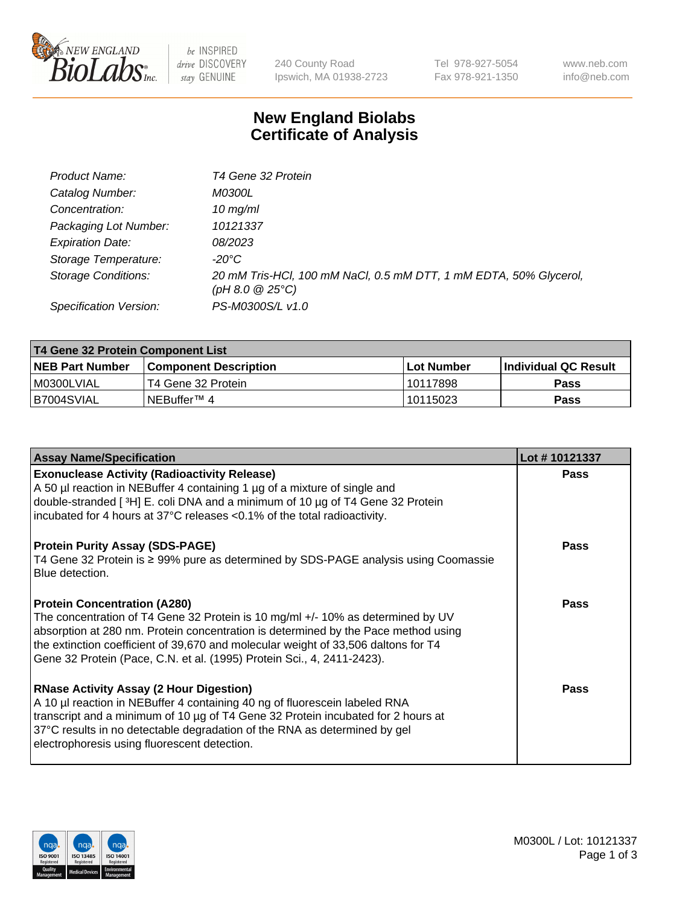

 $be$  INSPIRED drive DISCOVERY stay GENUINE

240 County Road Ipswich, MA 01938-2723 Tel 978-927-5054 Fax 978-921-1350 www.neb.com info@neb.com

## **New England Biolabs Certificate of Analysis**

| Product Name:              | T4 Gene 32 Protein                                                                       |
|----------------------------|------------------------------------------------------------------------------------------|
| Catalog Number:            | <i>M0300L</i>                                                                            |
| Concentration:             | $10$ mg/ml                                                                               |
| Packaging Lot Number:      | 10121337                                                                                 |
| <b>Expiration Date:</b>    | <i>08/2023</i>                                                                           |
| Storage Temperature:       | -20°C                                                                                    |
| <b>Storage Conditions:</b> | 20 mM Tris-HCl, 100 mM NaCl, 0.5 mM DTT, 1 mM EDTA, 50% Glycerol,<br>$(pH 8.0 \ @ 25°C)$ |
| Specification Version:     | PS-M0300S/L v1.0                                                                         |

| T4 Gene 32 Protein Component List |                              |             |                      |  |  |
|-----------------------------------|------------------------------|-------------|----------------------|--|--|
| <b>NEB Part Number</b>            | <b>Component Description</b> | ⊺Lot Number | Individual QC Result |  |  |
| M0300LVIAL                        | T4 Gene 32 Protein           | 10117898    | <b>Pass</b>          |  |  |
| B7004SVIAL                        | INEBuffer™ 4                 | 10115023    | Pass                 |  |  |

| <b>Assay Name/Specification</b>                                                                                                                                                                                                                                                                                                                                              | Lot #10121337 |
|------------------------------------------------------------------------------------------------------------------------------------------------------------------------------------------------------------------------------------------------------------------------------------------------------------------------------------------------------------------------------|---------------|
| <b>Exonuclease Activity (Radioactivity Release)</b><br>A 50 µl reaction in NEBuffer 4 containing 1 µg of a mixture of single and<br>double-stranded [ <sup>3</sup> H] E. coli DNA and a minimum of 10 µg of T4 Gene 32 Protein<br>incubated for 4 hours at 37°C releases <0.1% of the total radioactivity.                                                                   | <b>Pass</b>   |
| <b>Protein Purity Assay (SDS-PAGE)</b><br>T4 Gene 32 Protein is ≥ 99% pure as determined by SDS-PAGE analysis using Coomassie<br>Blue detection.                                                                                                                                                                                                                             | <b>Pass</b>   |
| <b>Protein Concentration (A280)</b><br>The concentration of T4 Gene 32 Protein is 10 mg/ml +/- 10% as determined by UV<br>absorption at 280 nm. Protein concentration is determined by the Pace method using<br>the extinction coefficient of 39,670 and molecular weight of 33,506 daltons for T4<br>Gene 32 Protein (Pace, C.N. et al. (1995) Protein Sci., 4, 2411-2423). | Pass          |
| <b>RNase Activity Assay (2 Hour Digestion)</b><br>A 10 µl reaction in NEBuffer 4 containing 40 ng of fluorescein labeled RNA<br>transcript and a minimum of 10 µg of T4 Gene 32 Protein incubated for 2 hours at<br>37°C results in no detectable degradation of the RNA as determined by gel<br>electrophoresis using fluorescent detection.                                | Pass          |

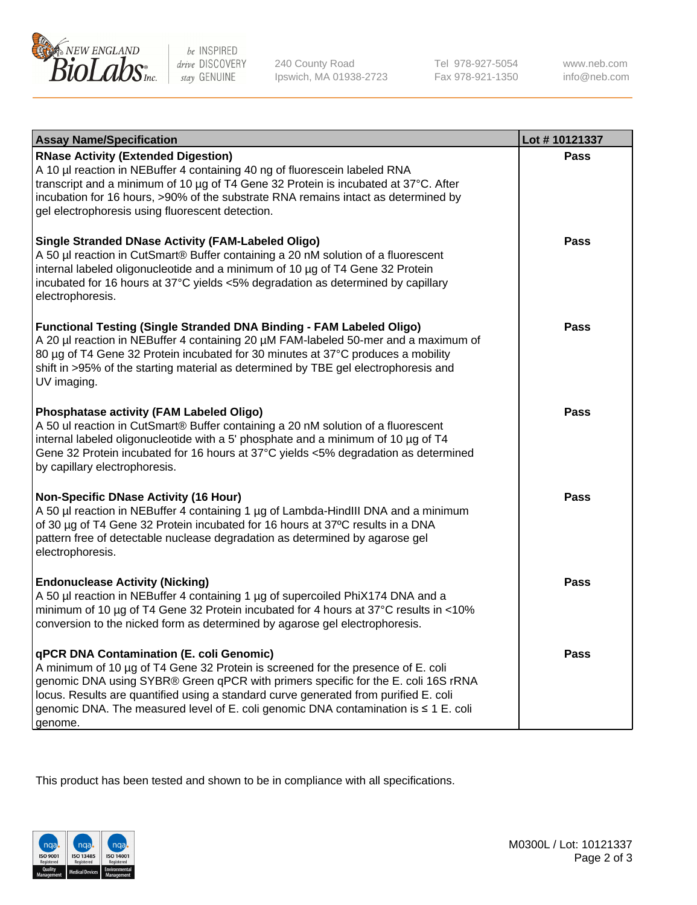

be INSPIRED drive DISCOVERY stay GENUINE

240 County Road Ipswich, MA 01938-2723 Tel 978-927-5054 Fax 978-921-1350 www.neb.com info@neb.com

| <b>Assay Name/Specification</b>                                                                                                                                                                                                                                                                                                                                                                             | Lot #10121337 |
|-------------------------------------------------------------------------------------------------------------------------------------------------------------------------------------------------------------------------------------------------------------------------------------------------------------------------------------------------------------------------------------------------------------|---------------|
| <b>RNase Activity (Extended Digestion)</b><br>A 10 µl reaction in NEBuffer 4 containing 40 ng of fluorescein labeled RNA<br>transcript and a minimum of 10 µg of T4 Gene 32 Protein is incubated at 37°C. After<br>incubation for 16 hours, >90% of the substrate RNA remains intact as determined by<br>gel electrophoresis using fluorescent detection.                                                   | <b>Pass</b>   |
| <b>Single Stranded DNase Activity (FAM-Labeled Oligo)</b><br>A 50 µl reaction in CutSmart® Buffer containing a 20 nM solution of a fluorescent<br>internal labeled oligonucleotide and a minimum of 10 µg of T4 Gene 32 Protein<br>incubated for 16 hours at 37°C yields <5% degradation as determined by capillary<br>electrophoresis.                                                                     | Pass          |
| Functional Testing (Single Stranded DNA Binding - FAM Labeled Oligo)<br>A 20 µl reaction in NEBuffer 4 containing 20 µM FAM-labeled 50-mer and a maximum of<br>80 µg of T4 Gene 32 Protein incubated for 30 minutes at 37°C produces a mobility<br>shift in >95% of the starting material as determined by TBE gel electrophoresis and<br>UV imaging.                                                       | Pass          |
| <b>Phosphatase activity (FAM Labeled Oligo)</b><br>A 50 ul reaction in CutSmart® Buffer containing a 20 nM solution of a fluorescent<br>internal labeled oligonucleotide with a 5' phosphate and a minimum of 10 µg of T4<br>Gene 32 Protein incubated for 16 hours at 37°C yields <5% degradation as determined<br>by capillary electrophoresis.                                                           | Pass          |
| <b>Non-Specific DNase Activity (16 Hour)</b><br>A 50 µl reaction in NEBuffer 4 containing 1 µg of Lambda-HindIII DNA and a minimum<br>of 30 µg of T4 Gene 32 Protein incubated for 16 hours at 37°C results in a DNA<br>pattern free of detectable nuclease degradation as determined by agarose gel<br>electrophoresis.                                                                                    | <b>Pass</b>   |
| <b>Endonuclease Activity (Nicking)</b><br>A 50 µl reaction in NEBuffer 4 containing 1 µg of supercoiled PhiX174 DNA and a<br>minimum of 10 µg of T4 Gene 32 Protein incubated for 4 hours at 37°C results in <10%<br>conversion to the nicked form as determined by agarose gel electrophoresis.                                                                                                            | <b>Pass</b>   |
| qPCR DNA Contamination (E. coli Genomic)<br>A minimum of 10 µg of T4 Gene 32 Protein is screened for the presence of E. coli<br>genomic DNA using SYBR® Green qPCR with primers specific for the E. coli 16S rRNA<br>locus. Results are quantified using a standard curve generated from purified E. coli<br>genomic DNA. The measured level of E. coli genomic DNA contamination is ≤ 1 E. coli<br>genome. | Pass          |

This product has been tested and shown to be in compliance with all specifications.